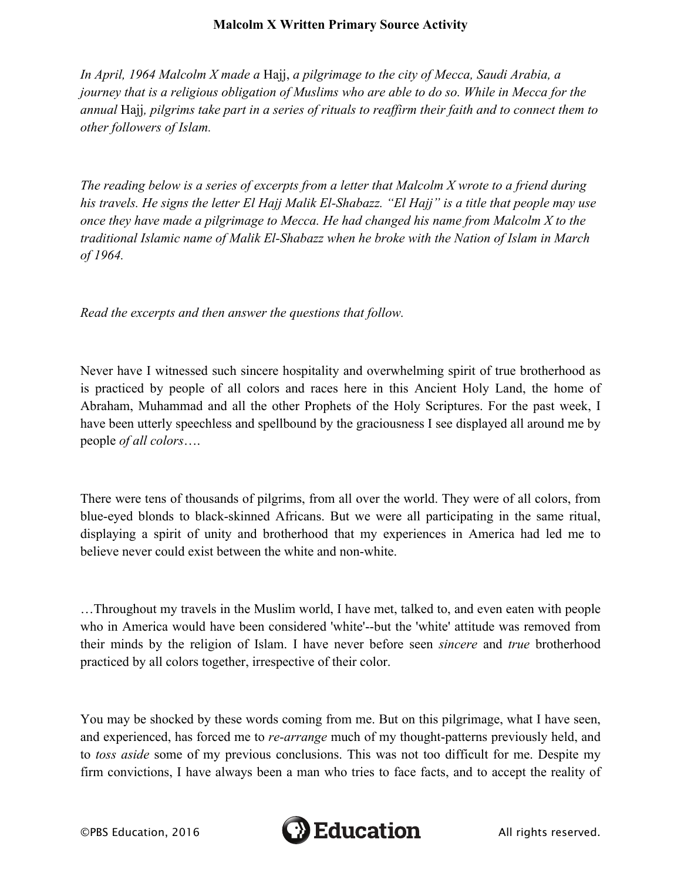## **Malcolm X Written Primary Source Activity**

*In April, 1964 Malcolm X made a* Hajj, *a pilgrimage to the city of Mecca, Saudi Arabia, a journey that is a religious obligation of Muslims who are able to do so. While in Mecca for the annual* Hajj*, pilgrims take part in a series of rituals to reaffirm their faith and to connect them to other followers of Islam.* 

*The reading below is a series of excerpts from a letter that Malcolm X wrote to a friend during his travels. He signs the letter El Hajj Malik El-Shabazz. "El Hajj" is a title that people may use once they have made a pilgrimage to Mecca. He had changed his name from Malcolm X to the traditional Islamic name of Malik El-Shabazz when he broke with the Nation of Islam in March of 1964.*

*Read the excerpts and then answer the questions that follow.*

Never have I witnessed such sincere hospitality and overwhelming spirit of true brotherhood as is practiced by people of all colors and races here in this Ancient Holy Land, the home of Abraham, Muhammad and all the other Prophets of the Holy Scriptures. For the past week, I have been utterly speechless and spellbound by the graciousness I see displayed all around me by people *of all colors*….

There were tens of thousands of pilgrims, from all over the world. They were of all colors, from blue-eyed blonds to black-skinned Africans. But we were all participating in the same ritual, displaying a spirit of unity and brotherhood that my experiences in America had led me to believe never could exist between the white and non-white.

…Throughout my travels in the Muslim world, I have met, talked to, and even eaten with people who in America would have been considered 'white'--but the 'white' attitude was removed from their minds by the religion of Islam. I have never before seen *sincere* and *true* brotherhood practiced by all colors together, irrespective of their color.

You may be shocked by these words coming from me. But on this pilgrimage, what I have seen, and experienced, has forced me to *re-arrange* much of my thought-patterns previously held, and to *toss aside* some of my previous conclusions. This was not too difficult for me. Despite my firm convictions, I have always been a man who tries to face facts, and to accept the reality of

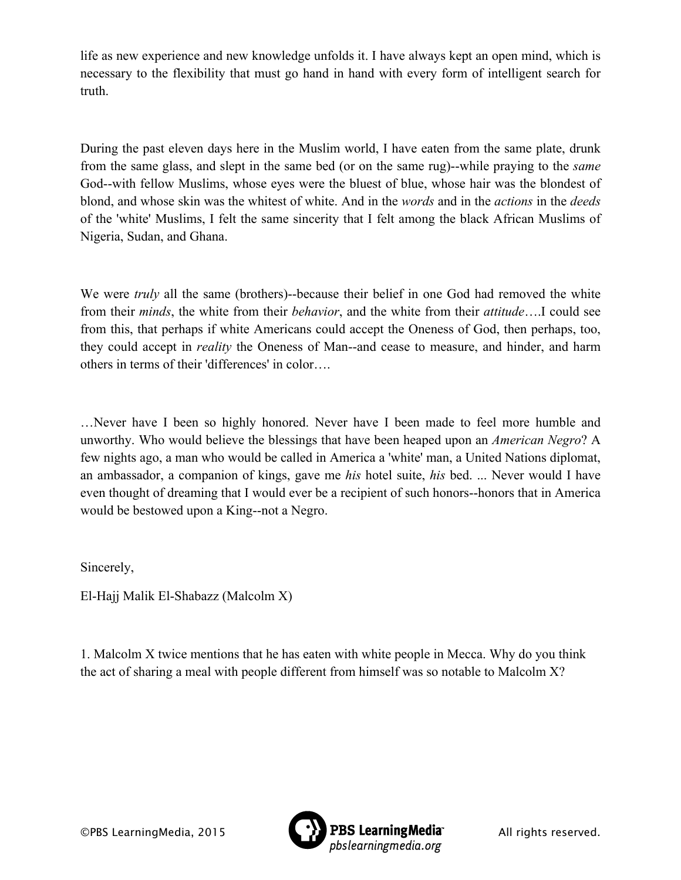life as new experience and new knowledge unfolds it. I have always kept an open mind, which is necessary to the flexibility that must go hand in hand with every form of intelligent search for truth.

During the past eleven days here in the Muslim world, I have eaten from the same plate, drunk from the same glass, and slept in the same bed (or on the same rug)--while praying to the *same* God--with fellow Muslims, whose eyes were the bluest of blue, whose hair was the blondest of blond, and whose skin was the whitest of white. And in the *words* and in the *actions* in the *deeds* of the 'white' Muslims, I felt the same sincerity that I felt among the black African Muslims of Nigeria, Sudan, and Ghana.

We were *truly* all the same (brothers)--because their belief in one God had removed the white from their *minds*, the white from their *behavior*, and the white from their *attitude*….I could see from this, that perhaps if white Americans could accept the Oneness of God, then perhaps, too, they could accept in *reality* the Oneness of Man--and cease to measure, and hinder, and harm others in terms of their 'differences' in color….

…Never have I been so highly honored. Never have I been made to feel more humble and unworthy. Who would believe the blessings that have been heaped upon an *American Negro*? A few nights ago, a man who would be called in America a 'white' man, a United Nations diplomat, an ambassador, a companion of kings, gave me *his* hotel suite, *his* bed. ... Never would I have even thought of dreaming that I would ever be a recipient of such honors--honors that in America would be bestowed upon a King--not a Negro.

Sincerely,

El-Hajj Malik El-Shabazz (Malcolm X)

1. Malcolm X twice mentions that he has eaten with white people in Mecca. Why do you think the act of sharing a meal with people different from himself was so notable to Malcolm X?